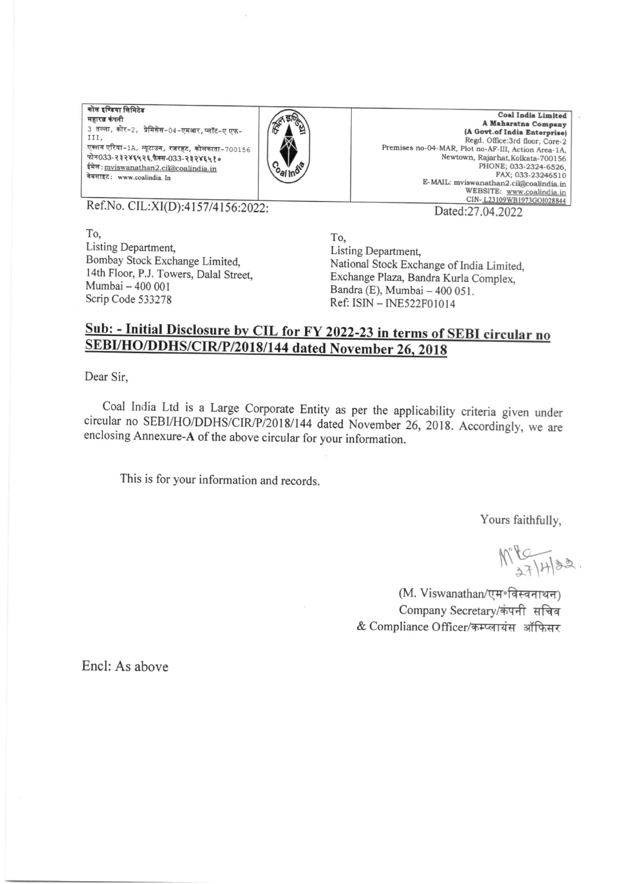कोल इण्डिया लिमिटेड महारत्न कंपनी 3 तल्ला, कोर-2, प्रेमिसेस-04-एमआर, प्लॉट-ए एफ-III. एक्शन एरिया-1A, न्यूटाउन, रजरहट, कोलकाता-700156 फोन033-२३२४६५२६,फैक्स-033-२३२४६५१० ईमेल: mviswanathan2.cil@coalindia.in वेबसाइट: www.coalindia. In



**Coal India Limited** A Maharatna Company (A Govt.of India Enterprise) Regd. Office:3rd floor, Core-2 Premises no-04-MAR, Plot no-AF-III, Action Area-1A, Newtown, Rajarhat, Kolkata-700156 PHONE: 033-2324-6526. FAX; 033-23246510 E-MAIL: mviswanathan2.cil@coalindia.in WEBSITE: www.coalindia.in CIN-123109WB1973GOI028844 Dated:27.04.2022

Ref.No. CIL:XI(D):4157/4156:2022:

To. Listing Department. Bombay Stock Exchange Limited. 14th Floor, P.J. Towers, Dalal Street, Mumbai - 400 001 Scrip Code 533278

To. Listing Department, National Stock Exchange of India Limited. Exchange Plaza, Bandra Kurla Complex, Bandra (E), Mumbai - 400 051.

Ref: ISIN - INE522F01014

## Sub: - Initial Disclosure by CIL for FY 2022-23 in terms of SEBI circular no SEBI/HO/DDHS/CIR/P/2018/144 dated November 26, 2018

Dear Sir.

Coal India Ltd is a Large Corporate Entity as per the applicability criteria given under circular no SEBI/HO/DDHS/CIR/P/2018/144 dated November 26, 2018. Accordingly, we are enclosing Annexure-A of the above circular for your information.

This is for your information and records.

Yours faithfully,

 $M^9$   $K^7$   $H^{182}$ .

(M. Viswanathan/एम॰विस्वनाथन) Company Secretary/कंपनी सचिव & Compliance Officer/कम्प्लायंस ऑफिसर

Encl: As above